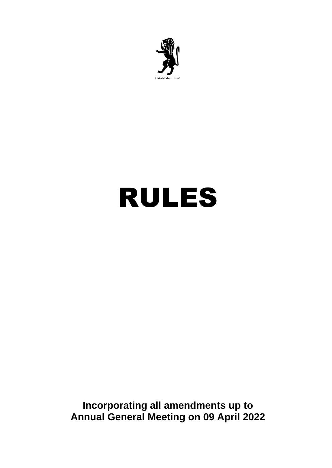

# RULES

**Incorporating all amendments up to Annual General Meeting on 09 April 2022**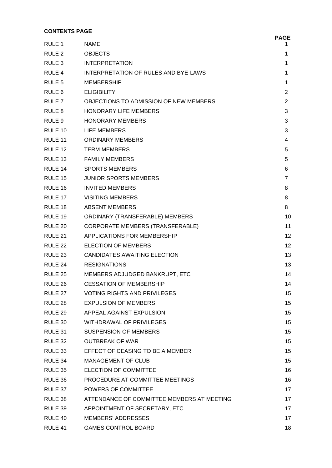# **CONTENTS PAGE**

# RULE 1 NAME 1 RULE 2 OBJECTS 1 RULE 3 INTERPRETATION 1 RULE 4 INTERPRETATION OF RULES AND BYE-LAWS 1 RULE 5 MEMBERSHIP 1 and 1 and 1 and 1 and 1 and 1 and 1 and 1 and 1 and 1 and 1 and 1 and 1 and 1 and 1 and 1 and 1 and 1 and 1 and 1 and 1 and 1 and 1 and 1 and 1 and 1 and 1 and 1 and 1 and 1 and 1 and 1 and 1 and 1 and RULE 6 ELIGIBILITY 2 RULE 7 OBJECTIONS TO ADMISSION OF NEW MEMBERS 2 RULE 8 HONORARY LIFE MEMBERS 3 RULE 9 HONORARY MEMBERS 3 RULE 10 LIFE MEMBERS 3 RULE 11 ORDINARY MEMBERS 4 RULE 12 TERM MEMBERS 5 RULE 13 FAMILY MEMBERS 5 RULE 14 SPORTS MEMBERS 6 RULE 15 JUNIOR SPORTS MEMBERS 7 RULE 16 INVITED MEMBERS 8 RULE 17 VISITING MEMBERS 8 RULE 18 ABSENT MEMBERS 8 RULE 19 ORDINARY (TRANSFERABLE) MEMBERS 10 RULE 20 CORPORATE MEMBERS (TRANSFERABLE) 11 RULE 21 APPLICATIONS FOR MEMBERSHIP 12 RULE 22 ELECTION OF MEMBERS 12 RULE 23 CANDIDATES AWAITING ELECTION 13 RULE 24 RESIGNATIONS 13 RULE 25 MEMBERS ADJUDGED BANKRUPT, ETC 14 RULE 26 CESSATION OF MEMBERSHIP 14 RULE 27 VOTING RIGHTS AND PRIVILEGES 15 15 RULE 28 EXPULSION OF MEMBERS 15 RULE 29 APPEAL AGAINST EXPULSION 15 RULE 30 WITHDRAWAL OF PRIVILEGES 15 RULE 31 SUSPENSION OF MEMBERS 15 15 RULE 32 OUTBREAK OF WAR 15 RULE 33 EFFECT OF CEASING TO BE A MEMBER 15 15 RULE 34 MANAGEMENT OF CLUB 15 RULE 35 ELECTION OF COMMITTEE 16 COMMITTEE 16 COMMITTEE 16 COMMITTEE 16 COMMITTEE 16 COMMITTEE 16 COMMITTEE 16 COMMI RULE 36 PROCEDURE AT COMMITTEE MEETINGS 16 16 RULE 37 POWERS OF COMMITTEE 17 POWERS OF COMMITTEE RULE 38 ATTENDANCE OF COMMITTEE MEMBERS AT MEETING 17 RULE 39 APPOINTMENT OF SECRETARY, ETC 17 RULE 40 MEMBERS' ADDRESSES 17 17 RULE 41 GAMES CONTROL BOARD 18

**PAGE**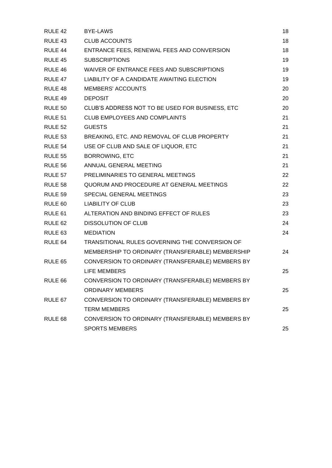| RULE 42            | <b>BYE-LAWS</b>                                  | 18 |
|--------------------|--------------------------------------------------|----|
| RULE 43            | <b>CLUB ACCOUNTS</b>                             | 18 |
| RULE 44            | ENTRANCE FEES, RENEWAL FEES AND CONVERSION       | 18 |
| RULE 45            | <b>SUBSCRIPTIONS</b>                             | 19 |
| RULE 46            | WAIVER OF ENTRANCE FEES AND SUBSCRIPTIONS        | 19 |
| RULE 47            | LIABILITY OF A CANDIDATE AWAITING ELECTION       | 19 |
| RULE 48            | <b>MEMBERS' ACCOUNTS</b>                         | 20 |
| RULE 49            | <b>DEPOSIT</b>                                   | 20 |
| <b>RULE 50</b>     | CLUB'S ADDRESS NOT TO BE USED FOR BUSINESS, ETC  | 20 |
| RULE 51            | <b>CLUB EMPLOYEES AND COMPLAINTS</b>             | 21 |
| <b>RULE 52</b>     | <b>GUESTS</b>                                    | 21 |
| RULE 53            | BREAKING, ETC. AND REMOVAL OF CLUB PROPERTY      | 21 |
| RULE 54            | USE OF CLUB AND SALE OF LIQUOR, ETC              | 21 |
| <b>RULE 55</b>     | <b>BORROWING, ETC</b>                            | 21 |
| RULE 56            | ANNUAL GENERAL MEETING                           | 21 |
| RULE 57            | PRELIMINARIES TO GENERAL MEETINGS                | 22 |
| RULE 58            | QUORUM AND PROCEDURE AT GENERAL MEETINGS         | 22 |
| RULE 59            | SPECIAL GENERAL MEETINGS                         | 23 |
| RULE 60            | <b>LIABILITY OF CLUB</b>                         | 23 |
| RULE 61            | ALTERATION AND BINDING EFFECT OF RULES           | 23 |
| RULE <sub>62</sub> | <b>DISSOLUTION OF CLUB</b>                       | 24 |
| RULE <sub>63</sub> | <b>MEDIATION</b>                                 | 24 |
| RULE 64            | TRANSITIONAL RULES GOVERNING THE CONVERSION OF   |    |
|                    | MEMBERSHIP TO ORDINARY (TRANSFERABLE) MEMBERSHIP | 24 |
| RULE 65            | CONVERSION TO ORDINARY (TRANSFERABLE) MEMBERS BY |    |
|                    | <b>LIFE MEMBERS</b>                              | 25 |
| RULE 66            | CONVERSION TO ORDINARY (TRANSFERABLE) MEMBERS BY |    |
|                    | <b>ORDINARY MEMBERS</b>                          | 25 |
| RULE 67            | CONVERSION TO ORDINARY (TRANSFERABLE) MEMBERS BY |    |
|                    | <b>TERM MEMBERS</b>                              | 25 |
| RULE <sub>68</sub> | CONVERSION TO ORDINARY (TRANSFERABLE) MEMBERS BY |    |
|                    | <b>SPORTS MEMBERS</b>                            | 25 |
|                    |                                                  |    |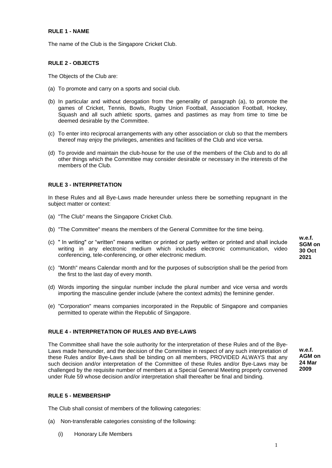# **RULE 1 - NAME**

The name of the Club is the Singapore Cricket Club.

# **RULE 2 - OBJECTS**

The Objects of the Club are:

- (a) To promote and carry on a sports and social club.
- (b) In particular and without derogation from the generality of paragraph (a), to promote the games of Cricket, Tennis, Bowls, Rugby Union Football, Association Football, Hockey, Squash and all such athletic sports, games and pastimes as may from time to time be deemed desirable by the Committee.
- (c) To enter into reciprocal arrangements with any other association or club so that the members thereof may enjoy the privileges, amenities and facilities of the Club and vice versa.
- (d) To provide and maintain the club-house for the use of the members of the Club and to do all other things which the Committee may consider desirable or necessary in the interests of the members of the Club.

# **RULE 3 - INTERPRETATION**

In these Rules and all Bye-Laws made hereunder unless there be something repugnant in the subject matter or context:

- (a) "The Club" means the Singapore Cricket Club.
- (b) "The Committee" means the members of the General Committee for the time being.
- (c) " In writing" or "written" means written or printed or partly written or printed and shall include writing in any electronic medium which includes electronic communication, video conferencing, tele-conferencing, or other electronic medium.
- (c) "Month" means Calendar month and for the purposes of subscription shall be the period from the first to the last day of every month.
- (d) Words importing the singular number include the plural number and vice versa and words importing the masculine gender include (where the context admits) the feminine gender.
- (e) "Corporation" means companies incorporated in the Republic of Singapore and companies permitted to operate within the Republic of Singapore.

# **RULE 4 - INTERPRETATION OF RULES AND BYE-LAWS**

The Committee shall have the sole authority for the interpretation of these Rules and of the Bye-Laws made hereunder, and the decision of the Committee in respect of any such interpretation of these Rules and/or Bye-Laws shall be binding on all members, PROVIDED ALWAYS that any such decision and/or interpretation of the Committee of these Rules and/or Bye-Laws may be challenged by the requisite number of members at a Special General Meeting properly convened under Rule 59 whose decision and/or interpretation shall thereafter be final and binding.

**w.e.f. AGM on 24 Mar 2009**

**w.e.f. SGM on 30 Oct 2021**

# **RULE 5 - MEMBERSHIP**

The Club shall consist of members of the following categories:

- (a) Non-transferable categories consisting of the following:
	- (i) Honorary Life Members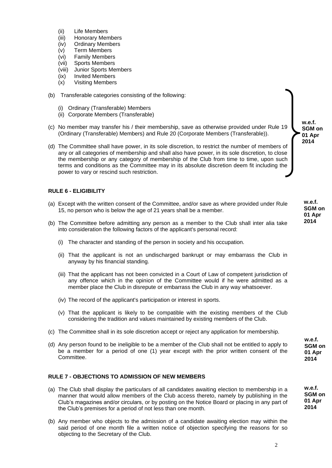- (ii) Life Members
- (iii) Honorary Members
- (iv) Ordinary Members
- (v) Term Members
- (vi) Family Members
- (vii) Sports Members
- (viii) Junior Sports Members
- (ix) Invited Members
- (x) Visiting Members
- (b) Transferable categories consisting of the following:
	- (i) Ordinary (Transferable) Members
	- (ii) Corporate Members (Transferable)
- (c) No member may transfer his / their membership, save as otherwise provided under Rule 19 (Ordinary (Transferable) Members) and Rule 20 (Corporate Members (Transferable)).
- (d) The Committee shall have power, in its sole discretion, to restrict the number of members of any or all categories of membership and shall also have power, in its sole discretion, to close the membership or any category of membership of the Club from time to time, upon such terms and conditions as the Committee may in its absolute discretion deem fit including the power to vary or rescind such restriction.

# **RULE 6 - ELIGIBILITY**

- (a) Except with the written consent of the Committee, and/or save as where provided under Rule 15, no person who is below the age of 21 years shall be a member.
- (b) The Committee before admitting any person as a member to the Club shall inter alia take into consideration the following factors of the applicant's personal record:
	- (i) The character and standing of the person in society and his occupation.
	- (ii) That the applicant is not an undischarged bankrupt or may embarrass the Club in anyway by his financial standing.
	- (iii) That the applicant has not been convicted in a Court of Law of competent jurisdiction of any offence which in the opinion of the Committee would if he were admitted as a member place the Club in disrepute or embarrass the Club in any way whatsoever.
	- (iv) The record of the applicant's participation or interest in sports.
	- (v) That the applicant is likely to be compatible with the existing members of the Club considering the tradition and values maintained by existing members of the Club.
- (c) The Committee shall in its sole discretion accept or reject any application for membership.
- (d) Any person found to be ineligible to be a member of the Club shall not be entitled to apply to be a member for a period of one (1) year except with the prior written consent of the Committee.

# **RULE 7 - OBJECTIONS TO ADMISSION OF NEW MEMBERS**

- (a) The Club shall display the particulars of all candidates awaiting election to membership in a manner that would allow members of the Club access thereto, namely by publishing in the Club's magazines and/or circulars, or by posting on the Notice Board or placing in any part of the Club's premises for a period of not less than one month.
- (b) Any member who objects to the admission of a candidate awaiting election may within the said period of one month file a written notice of objection specifying the reasons for so objecting to the Secretary of the Club.

**w.e.f. SGM on 01 Apr 2014**

> **w.e.f. SGM on 01 Apr 2014**

**w.e.f. SGM on 01 Apr 2014**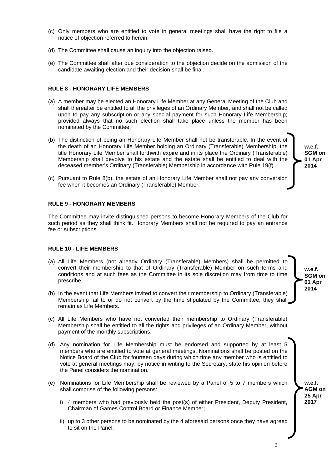- (c) Only members who are entitled to vote in general meetings shall have the right to file a notice of objection referred to herein.
- (d) The Committee shall cause an inquiry into the objection raised.
- (e) The Committee shall after due consideration to the objection decide on the admission of the candidate awaiting election and their decision shall be final.

#### **RULE 8 - HONORARY LIFE MEMBERS**

- (a) A member may be elected an Honorary Life Member at any General Meeting of the Club and shall thereafter be entitled to all the privileges of an Ordinary Member, and shall not be called upon to pay any subscription or any special payment for such Honorary Life Membership; provided always that no such election shall take place unless the member has been nominated by the Committee.
- (b) The distinction of being an Honorary Life Member shall not be transferable. In the event of the death of an Honorary Life Member holding an Ordinary (Transferable) Membership, the title Honorary Life Member shall forthwith expire and in its place the Ordinary (Transferable) Membership shall devolve to his estate and the estate shall be entitled to deal with the deceased member's Ordinary (Transferable) Membership in accordance with Rule 19(f).
- (c) Pursuant to Rule 8(b), the estate of an Honorary Life Member shall not pay any conversion fee when it becomes an Ordinary (Transferable) Member.

# **RULE 9 - HONORARY MEMBERS**

The Committee may invite distinguished persons to become Honorary Members of the Club for such period as they shall think fit. Honorary Members shall not be required to pay an entrance fee or subscriptions.

#### **RULE 10 - LIFE MEMBERS**

- (a) All Life Members (not already Ordinary (Transferable) Members) shall be permitted to convert their membership to that of Ordinary (Transferable) Member on such terms and conditions and at such fees as the Committee in its sole discretion may from time to time prescribe.
- (b) In the event that Life Members invited to convert their membership to Ordinary (Transferable) Membership fail to or do not convert by the time stipulated by the Committee, they shall remain as Life Members.
- (c) All Life Members who have not converted their membership to Ordinary (Transferable) Membership shall be entitled to all the rights and privileges of an Ordinary Member, without payment of the monthly subscriptions.
- (d) Any nomination for Life Membership must be endorsed and supported by at least 5 members who are entitled to vote at general meetings. Nominations shall be posted on the Notice Board of the Club for fourteen days during which time any member who is entitled to vote at general meetings may, by notice in writing to the Secretary, state his opinion before the Panel considers the nomination.
- (e) Nominations for Life Membership shall be reviewed by a Panel of 5 to 7 members which shall comprise of the following persons:
	- i) 4 members who had previously held the post(s) of either President, Deputy President, Chairman of Games Control Board or Finance Member;
	- ii) up to 3 other persons to be nominated by the 4 aforesaid persons once they have agreed to sit on the Panel.

**SGM on 01 Apr 2014**

**w.e.f.**

**w.e.f. SGM on 01 Apr 2014**

> **w.e.f. AGM on 25 Apr 2017**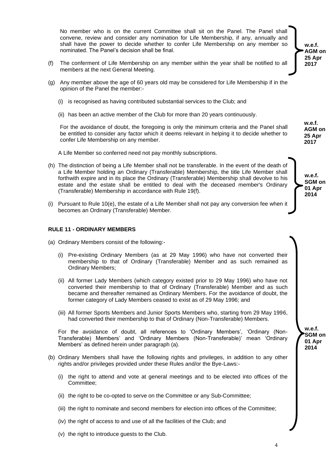No member who is on the current Committee shall sit on the Panel. The Panel shall convene, review and consider any nomination for Life Membership, if any, annually and shall have the power to decide whether to confer Life Membership on any member so nominated. The Panel's decision shall be final.

- (f) The conferment of Life Membership on any member within the year shall be notified to all members at the next General Meeting.
- (g) Any member above the age of 60 years old may be considered for Life Membership if in the opinion of the Panel the member:-
	- (i) is recognised as having contributed substantial services to the Club; and
	- (ii) has been an active member of the Club for more than 20 years continuously.

For the avoidance of doubt, the foregoing is only the minimum criteria and the Panel shall be entitled to consider any factor which it deems relevant in helping it to decide whether to confer Life Membership on any member.

A Life Member so conferred need not pay monthly subscriptions.

- (h) The distinction of being a Life Member shall not be transferable. In the event of the death of a Life Member holding an Ordinary (Transferable) Membership, the title Life Member shall forthwith expire and in its place the Ordinary (Transferable) Membership shall devolve to his estate and the estate shall be entitled to deal with the deceased member's Ordinary (Transferable) Membership in accordance with Rule 19(f).
- (i) Pursuant to Rule 10(e), the estate of a Life Member shall not pay any conversion fee when it becomes an Ordinary (Transferable) Member.

#### **RULE 11 - ORDINARY MEMBERS**

- (a) Ordinary Members consist of the following:-
	- (i) Pre-existing Ordinary Members (as at 29 May 1996) who have not converted their membership to that of Ordinary (Transferable) Member and as such remained as Ordinary Members;
	- (ii) All former Lady Members (which category existed prior to 29 May 1996) who have not converted their membership to that of Ordinary (Transferable) Member and as such became and thereafter remained as Ordinary Members. For the avoidance of doubt, the former category of Lady Members ceased to exist as of 29 May 1996; and
	- (iii) All former Sports Members and Junior Sports Members who, starting from 29 May 1996, had converted their membership to that of Ordinary (Non-Transferable) Members.

For the avoidance of doubt, all references to 'Ordinary Members', 'Ordinary (Non-Transferable) Members' and 'Ordinary Members (Non-Transferable)' mean 'Ordinary Members' as defined herein under paragraph (a).

- (b) Ordinary Members shall have the following rights and privileges, in addition to any other rights and/or privileges provided under these Rules and/or the Bye-Laws:-
	- (i) the right to attend and vote at general meetings and to be elected into offices of the Committee;
	- (ii) the right to be co-opted to serve on the Committee or any Sub-Committee;
	- (iii) the right to nominate and second members for election into offices of the Committee;
	- (iv) the right of access to and use of all the facilities of the Club; and
	- (v) the right to introduce guests to the Club.

**w.e.f. AGM on 25 Apr 2017**

**w.e.f. AGM on 25 Apr 2017**

**w.e.f. SGM on 01 Apr 2014**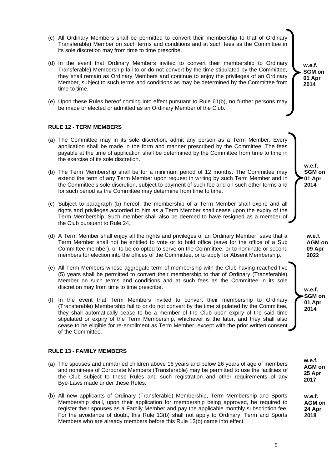- (c) All Ordinary Members shall be permitted to convert their membership to that of Ordinary Transferable) Member on such terms and conditions and at such fees as the Committee in its sole discretion may from time to time prescribe.
- (d) In the event that Ordinary Members invited to convert their membership to Ordinary Transferable) Membership fail to or do not convert by the time stipulated by the Committee, they shall remain as Ordinary Members and continue to enjoy the privileges of an Ordinary Member, subject to such terms and conditions as may be determined by the Committee from time to time.
- (e) Upon these Rules hereof coming into effect pursuant to Rule 61(b), no further persons may be made or elected or admitted as an Ordinary Member of the Club.

# **RULE 12 - TERM MEMBERS**

- (a) The Committee may in its sole discretion, admit any person as a Term Member. Every application shall be made in the form and manner prescribed by the Committee. The fees payable at the time of application shall be determined by the Committee from time to time in the exercise of its sole discretion.
- (b) The Term Membership shall be for a minimum period of 12 months. The Committee may extend the term of any Term Member upon request in writing by such Term Member and in the Committee's sole discretion, subject to payment of such fee and on such other terms and for such period as the Committee may determine from time to time.
- (c) Subject to paragraph (b) hereof, the membership of a Term Member shall expire and all rights and privileges accorded to him as a Term Member shall cease upon the expiry of the Term Membership. Such member shall also be deemed to have resigned as a member of the Club pursuant to Rule 24.
- (d) A Term Member shall enjoy all the rights and privileges of an Ordinary Member, save that a Term Member shall not be entitled to vote or to hold office (save for the office of a Sub Committee member), or to be co-opted to serve on the Committee, or to nominate or second members for election into the offices of the Committee, or to apply for Absent Membership.
- (e) All Term Members whose aggregate term of membership with the Club having reached five (5) years shall be permitted to convert their membership to that of Ordinary (Transferable) Member on such terms and conditions and at such fees as the Committee in its sole discretion may from time to time prescribe.
- (f) In the event that Term Members invited to convert their membership to Ordinary (Transferable) Membership fail to or do not convert by the time stipulated by the Committee, they shall automatically cease to be a member of the Club upon expiry of the said time stipulated or expiry of the Term Membership, whichever is the later, and they shall also cease to be eligible for re-enrollment as Term Member, except with the prior written consent of the Committee.

#### **RULE 13 - FAMILY MEMBERS**

- (a) The spouses and unmarried children above 16 years and below 26 years of age of members and nominees of Corporate Members (Transferable) may be permitted to use the facilities of the Club subject to these Rules and such registration and other requirements of any Bye-Laws made under these Rules.
- (b) All new applicants of Ordinary (Transferable) Membership, Term Membership and Sports Membership shall, upon their application for membership being approved, be required to register their spouses as a Family Member and pay the applicable monthly subscription fee. For the avoidance of doubt, this Rule 13(b) shall not apply to Ordinary, Term and Sports Members who are already members before this Rule 13(b) came into effect.

**w.e.f. SGM on 01 Apr 2014**

> **w.e.f. SGM on 01 Apr 2014**

**w.e.f. AGM on 09 Apr 2022**

**w.e.f. SGM on 01 Apr 2014**

> **w.e.f. AGM on 25 Apr 2017**

**w.e.f. AGM on 24 Apr 2018**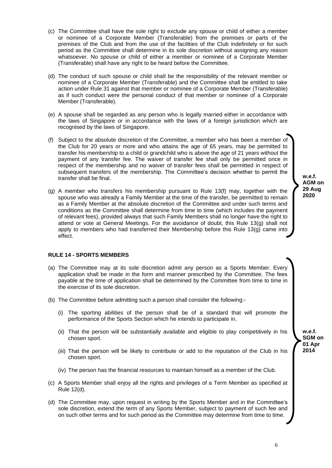- (c) The Committee shall have the sole right to exclude any spouse or child of either a member or nominee of a Corporate Member (Transferable) from the premises or parts of the premises of the Club and from the use of the facilities of the Club indefinitely or for such period as the Committee shall determine in its sole discretion without assigning any reason whatsoever. No spouse or child of either a member or nominee of a Corporate Member (Transferable) shall have any right to be heard before the Committee.
- (d) The conduct of such spouse or child shall be the responsibility of the relevant member or nominee of a Corporate Member (Transferable) and the Committee shall be entitled to take action under Rule 31 against that member or nominee of a Corporate Member (Transferable) as if such conduct were the personal conduct of that member or nominee of a Corporate Member (Transferable).
- (e) A spouse shall be regarded as any person who is legally married either in accordance with the laws of Singapore or in accordance with the laws of a foreign jurisdiction which are recognised by the laws of Singapore.
- (f) Subject to the absolute discretion of the Committee, a member who has been a member of the Club for 20 years or more and who attains the age of 65 years, may be permitted to transfer his membership to a child or grandchild who is above the age of 21 years without the payment of any transfer fee. The waiver of transfer fee shall only be permitted once in respect of the membership and no waiver of transfer fees shall be permitted in respect of subsequent transfers of the membership. The Committee's decision whether to permit the transfer shall be final.
- (g) A member who transfers his membership pursuant to Rule 13(f) may, together with the spouse who was already a Family Member at the time of the transfer, be permitted to remain as a Family Member at the absolute discretion of the Committee and under such terms and conditions as the Committee shall determine from time to time (which includes the payment of relevant fees), provided always that such Family Members shall no longer have the right to attend or vote at General Meetings. For the avoidance of doubt, this Rule 13(g) shall not apply to members who had transferred their Membership before this Rule 13(g) came into effect.

# **RULE 14 - SPORTS MEMBERS**

- (a) The Committee may at its sole discretion admit any person as a Sports Member. Every application shall be made in the form and manner prescribed by the Committee. The fees payable at the time of application shall be determined by the Committee from time to time in the exercise of its sole discretion.
- (b) The Committee before admitting such a person shall consider the following:-
	- (i) The sporting abilities of the person shall be of a standard that will promote the performance of the Sports Section which he intends to participate in.
	- (ii) That the person will be substantially available and eligible to play competitively in his chosen sport.
	- (iii) That the person will be likely to contribute or add to the reputation of the Club in his chosen sport.
	- (iv) The person has the financial resources to maintain himself as a member of the Club.
- (c) A Sports Member shall enjoy all the rights and privileges of a Term Member as specified at Rule 12(d).
- (d) The Committee may, upon request in writing by the Sports Member and in the Committee's sole discretion, extend the term of any Sports Member, subject to payment of such fee and on such other terms and for such period as the Committee may determine from time to time.

**w.e.f. AGM on 29 Aug 2020**

> **w.e.f. SGM on 01 Apr 2014**

6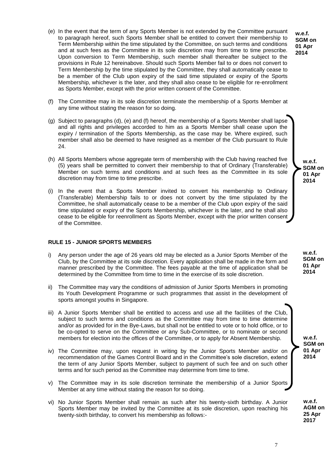(e) In the event that the term of any Sports Member is not extended by the Committee pursuant to paragraph hereof, such Sports Member shall be entitled to convert their membership to Term Membership within the time stipulated by the Committee, on such terms and conditions and at such fees as the Committee in its sole discretion may from time to time prescribe. Upon conversion to Term Membership, such member shall thereafter be subject to the provisions in Rule 12 hereinabove. Should such Sports Member fail to or does not convert to Term Membership by the time stipulated by the Committee, they shall automatically cease to be a member of the Club upon expiry of the said time stipulated or expiry of the Sports Membership, whichever is the later, and they shall also cease to be eligible for re-enrollment as Sports Member, except with the prior written consent of the Committee.

**w.e.f. SGM on 01 Apr 2014**

- (f) The Committee may in its sole discretion terminate the membership of a Sports Member at any time without stating the reason for so doing.
- (g) Subject to paragraphs (d), (e) and (f) hereof, the membership of a Sports Member shall lapse and all rights and privileges accorded to him as a Sports Member shall cease upon the expiry / termination of the Sports Membership, as the case may be. Where expired, such member shall also be deemed to have resigned as a member of the Club pursuant to Rule 24.
- (h) All Sports Members whose aggregate term of membership with the Club having reached five (5) years shall be permitted to convert their membership to that of Ordinary (Transferable) Member on such terms and conditions and at such fees as the Committee in its sole discretion may from time to time prescribe.
- (i) In the event that a Sports Member invited to convert his membership to Ordinary (Transferable) Membership fails to or does not convert by the time stipulated by the Committee, he shall automatically cease to be a member of the Club upon expiry of the said time stipulated or expiry of the Sports Membership, whichever is the later, and he shall also cease to be eligible for reenrollment as Sports Member, except with the prior written consent of the Committee.

# **RULE 15 - JUNIOR SPORTS MEMBERS**

- i) Any person under the age of 26 years old may be elected as a Junior Sports Member of the Club, by the Committee at its sole discretion. Every application shall be made in the form and manner prescribed by the Committee. The fees payable at the time of application shall be determined by the Committee from time to time in the exercise of its sole discretion.
- ii) The Committee may vary the conditions of admission of Junior Sports Members in promoting its Youth Development Programme or such programmes that assist in the development of sports amongst youths in Singapore.
- iii) A Junior Sports Member shall be entitled to access and use all the facilities of the Club, subject to such terms and conditions as the Committee may from time to time determine and/or as provided for in the Bye-Laws, but shall not be entitled to vote or to hold office, or to be co-opted to serve on the Committee or any Sub-Committee, or to nominate or second members for election into the offices of the Committee, or to apply for Absent Membership.
- iv) The Committee may, upon request in writing by the Junior Sports Member and/or on recommendation of the Games Control Board and in the Committee's sole discretion, extend the term of any Junior Sports Member, subject to payment of such fee and on such other terms and for such period as the Committee may determine from time to time.
- v) The Committee may in its sole discretion terminate the membership of a Junior Sports Member at any time without stating the reason for so doing.
- vi) No Junior Sports Member shall remain as such after his twenty-sixth birthday. A Junior Sports Member may be invited by the Committee at its sole discretion, upon reaching his twenty-sixth birthday, to convert his membership as follows:-

**w.e.f. SGM on 01 Apr 2014**

**w.e.f. SGM on 01 Apr 2014**

**w.e.f. SGM on 01 Apr 2014**

**w.e.f. AGM on 25 Apr 2017**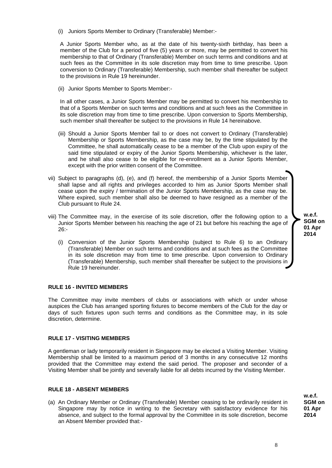(i) Juniors Sports Member to Ordinary (Transferable) Member:-

A Junior Sports Member who, as at the date of his twenty-sixth birthday, has been a member of the Club for a period of five (5) years or more, may be permitted to convert his membership to that of Ordinary (Transferable) Member on such terms and conditions and at such fees as the Committee in its sole discretion may from time to time prescribe. Upon conversion to Ordinary (Transferable) Membership, such member shall thereafter be subject to the provisions in Rule 19 hereinunder.

(ii) Junior Sports Member to Sports Member:-

In all other cases, a Junior Sports Member may be permitted to convert his membership to that of a Sports Member on such terms and conditions and at such fees as the Committee in its sole discretion may from time to time prescribe. Upon conversion to Sports Membership, such member shall thereafter be subject to the provisions in Rule 14 hereinabove.

- (iii) Should a Junior Sports Member fail to or does not convert to Ordinary (Transferable) Membership or Sports Membership, as the case may be, by the time stipulated by the Committee, he shall automatically cease to be a member of the Club upon expiry of the said time stipulated or expiry of the Junior Sports Membership, whichever is the later, and he shall also cease to be eligible for re-enrollment as a Junior Sports Member, except with the prior written consent of the Committee.
- vii) Subject to paragraphs (d), (e), and (f) hereof, the membership of a Junior Sports Member shall lapse and all rights and privileges accorded to him as Junior Sports Member shall cease upon the expiry / termination of the Junior Sports Membership, as the case may be. Where expired, such member shall also be deemed to have resigned as a member of the Club pursuant to Rule 24.
- viii) The Committee may, in the exercise of its sole discretion, offer the following option to a Junior Sports Member between his reaching the age of 21 but before his reaching the age of  $26 -$ 
	- (i) Conversion of the Junior Sports Membership (subject to Rule 6) to an Ordinary (Transferable) Member on such terms and conditions and at such fees as the Committee in its sole discretion may from time to time prescribe. Upon conversion to Ordinary (Transferable) Membership, such member shall thereafter be subject to the provisions in Rule 19 hereinunder.

# **RULE 16 - INVITED MEMBERS**

The Committee may invite members of clubs or associations with which or under whose auspices the Club has arranged sporting fixtures to become members of the Club for the day or days of such fixtures upon such terms and conditions as the Committee may, in its sole discretion, determine.

# **RULE 17 - VISITING MEMBERS**

A gentleman or lady temporarily resident in Singapore may be elected a Visiting Member. Visiting Membership shall be limited to a maximum period of 3 months in any consecutive 12 months provided that the Committee may extend the said period. The proposer and seconder of a Visiting Member shall be jointly and severally liable for all debts incurred by the Visiting Member.

#### **RULE 18 - ABSENT MEMBERS**

(a) An Ordinary Member or Ordinary (Transferable) Member ceasing to be ordinarily resident in Singapore may by notice in writing to the Secretary with satisfactory evidence for his absence, and subject to the formal approval by the Committee in its sole discretion, become an Absent Member provided that:-

**w.e.f. SGM on 01 Apr 2014**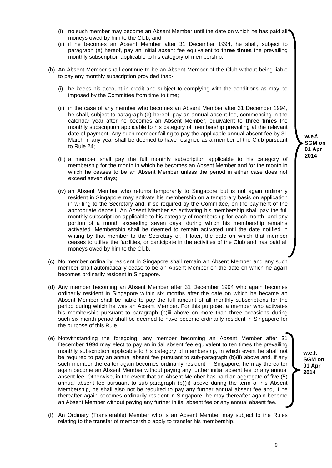9

- (i) no such member may become an Absent Member until the date on which he has paid all moneys owed by him to the Club; and
- (ii) if he becomes an Absent Member after 31 December 1994, he shall, subject to paragraph (e) hereof, pay an initial absent fee equivalent to **three times** the prevailing monthly subscription applicable to his category of membership.
- (b) An Absent Member shall continue to be an Absent Member of the Club without being liable to pay any monthly subscription provided that:-
	- (i) he keeps his account in credit and subject to complying with the conditions as may be imposed by the Committee from time to time;
	- (ii) in the case of any member who becomes an Absent Member after 31 December 1994, he shall, subject to paragraph (e) hereof, pay an annual absent fee, commencing in the calendar year after he becomes an Absent Member, equivalent to **three times** the monthly subscription applicable to his category of membership prevailing at the relevant date of payment. Any such member failing to pay the applicable annual absent fee by 31 March in any year shall be deemed to have resigned as a member of the Club pursuant to Rule 24;
	- (iii) a member shall pay the full monthly subscription applicable to his category of membership for the month in which he becomes an Absent Member and for the month in which he ceases to be an Absent Member unless the period in either case does not exceed seven days;
	- (iv) an Absent Member who returns temporarily to Singapore but is not again ordinarily resident in Singapore may activate his membership on a temporary basis on application in writing to the Secretary and, if so required by the Committee, on the payment of the appropriate deposit. An Absent Member so activating his membership shall pay the full monthly subscript ion applicable to his category of membership for each month, and any portion of a month exceeding seven days, during which his membership remains activated. Membership shall be deemed to remain activated until the date notified in writing by that member to the Secretary or, if later, the date on which that member ceases to utilise the facilities, or participate in the activities of the Club and has paid all moneys owed by him to the Club.
- (c) No member ordinarily resident in Singapore shall remain an Absent Member and any such member shall automatically cease to be an Absent Member on the date on which he again becomes ordinarily resident in Singapore.
- (d) Any member becoming an Absent Member after 31 December 1994 who again becomes ordinarily resident in Singapore within six months after the date on which he became an Absent Member shall be liable to pay the full amount of all monthly subscriptions for the period during which he was an Absent Member. For this purpose, a member who activates his membership pursuant to paragraph (b)iii above on more than three occasions during such six-month period shall be deemed to have become ordinarily resident in Singapore for the purpose of this Rule.
- (e) Notwithstanding the foregoing, any member becoming an Absent Member after 31 December 1994 may elect to pay an initial absent fee equivalent to ten times the prevailing monthly subscription applicable to his category of membership, in which event he shall not be required to pay an annual absent fee pursuant to sub-paragraph (b)(ii) above and, if any such member thereafter again becomes ordinarily resident in Singapore, he may thereafter again become an Absent Member without paying any further initial absent fee or any annual absent fee. Otherwise, in the event that an Absent Member has paid an aggregate of five (5) annual absent fee pursuant to sub-paragraph (b)(ii) above during the term of his Absent Membership, he shall also not be required to pay any further annual absent fee and, if he thereafter again becomes ordinarily resident in Singapore, he may thereafter again become an Absent Member without paying any further initial absent fee or any annual absent fee.
- (f) An Ordinary (Transferable) Member who is an Absent Member may subject to the Rules relating to the transfer of membership apply to transfer his membership.

**w.e.f. SGM on 01 Apr 2014**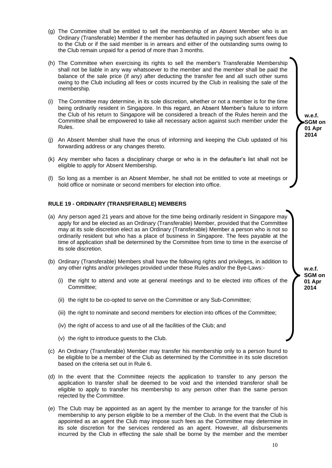- (g) The Committee shall be entitled to sell the membership of an Absent Member who is an Ordinary (Transferable) Member if the member has defaulted in paying such absent fees due to the Club or if the said member is in arrears and either of the outstanding sums owing to the Club remain unpaid for a period of more than 3 months.
- (h) The Committee when exercising its rights to sell the member's Transferable Membership shall not be liable in any way whatsoever to the member and the member shall be paid the balance of the sale price (if any) after deducting the transfer fee and all such other sums owing to the Club including all fees or costs incurred by the Club in realising the sale of the membership.
- (i) The Committee may determine, in its sole discretion, whether or not a member is for the time being ordinarily resident in Singapore. In this regard, an Absent Member's failure to inform the Club of his return to Singapore will be considered a breach of the Rules herein and the Committee shall be empowered to take all necessary action against such member under the Rules.
- (j) An Absent Member shall have the onus of informing and keeping the Club updated of his forwarding address or any changes thereto.
- (k) Any member who faces a disciplinary charge or who is in the defaulter's list shall not be eligible to apply for Absent Membership.
- (l) So long as a member is an Absent Member, he shall not be entitled to vote at meetings or hold office or nominate or second members for election into office.

# **RULE 19 - ORDINARY (TRANSFERABLE) MEMBERS**

- (a) Any person aged 21 years and above for the time being ordinarily resident in Singapore may apply for and be elected as an Ordinary (Transferable) Member, provided that the Committee may at its sole discretion elect as an Ordinary (Transferable) Member a person who is not so ordinarily resident but who has a place of business in Singapore. The fees payable at the time of application shall be determined by the Committee from time to time in the exercise of its sole discretion.
- (b) Ordinary (Transferable) Members shall have the following rights and privileges, in addition to any other rights and/or privileges provided under these Rules and/or the Bye-Laws:-
	- (i) the right to attend and vote at general meetings and to be elected into offices of the Committee;
	- (ii) the right to be co-opted to serve on the Committee or any Sub-Committee;
	- (iii) the right to nominate and second members for election into offices of the Committee;
	- (iv) the right of access to and use of all the facilities of the Club; and
	- (v) the right to introduce guests to the Club.
- (c) An Ordinary (Transferable) Member may transfer his membership only to a person found to be eligible to be a member of the Club as determined by the Committee in its sole discretion based on the criteria set out in Rule 6.
- (d) In the event that the Committee rejects the application to transfer to any person the application to transfer shall be deemed to be void and the intended transferor shall be eligible to apply to transfer his membership to any person other than the same person rejected by the Committee.
- (e) The Club may be appointed as an agent by the member to arrange for the transfer of his membership to any person eligible to be a member of the Club. In the event that the Club is appointed as an agent the Club may impose such fees as the Committee may determine in its sole discretion for the services rendered as an agent. However, all disbursements incurred by the Club in effecting the sale shall be borne by the member and the member

**w.e.f. SGM on 01 Apr 2014**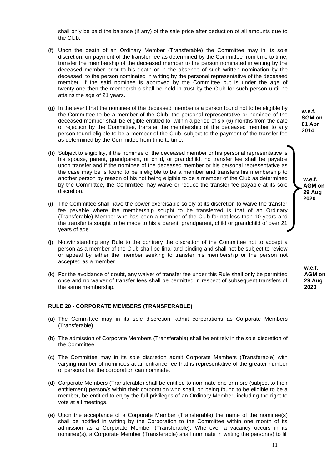shall only be paid the balance (if any) of the sale price after deduction of all amounts due to the Club.

- (f) Upon the death of an Ordinary Member (Transferable) the Committee may in its sole discretion, on payment of the transfer fee as determined by the Committee from time to time, transfer the membership of the deceased member to the person nominated in writing by the deceased member prior to his death or in the absence of such written nomination by the deceased, to the person nominated in writing by the personal representative of the deceased member. If the said nominee is approved by the Committee but is under the age of twenty-one then the membership shall be held in trust by the Club for such person until he attains the age of 21 years.
- (g) In the event that the nominee of the deceased member is a person found not to be eligible by the Committee to be a member of the Club, the personal representative or nominee of the deceased member shall be eligible entitled to, within a period of six (6) months from the date of rejection by the Committee, transfer the membership of the deceased member to any person found eligible to be a member of the Club, subject to the payment of the transfer fee as determined by the Committee from time to time.
- (h) Subject to eligibility, if the nominee of the deceased member or his personal representative is his spouse, parent, grandparent, or child, or grandchild, no transfer fee shall be payable upon transfer and if the nominee of the deceased member or his personal representative as the case may be is found to be ineligible to be a member and transfers his membership to another person by reason of his not being eligible to be a member of the Club as determined by the Committee, the Committee may waive or reduce the transfer fee payable at its sole discretion.
- (i) The Committee shall have the power exercisable solely at its discretion to waive the transfer fee payable where the membership sought to be transferred is that of an Ordinary (Transferable) Member who has been a member of the Club for not less than 10 years and the transfer is sought to be made to his a parent, grandparent, child or grandchild of over 21 years of age.
- (j) Notwithstanding any Rule to the contrary the discretion of the Committee not to accept a person as a member of the Club shall be final and binding and shall not be subject to review or appeal by either the member seeking to transfer his membership or the person not accepted as a member.
- (k) For the avoidance of doubt, any waiver of transfer fee under this Rule shall only be permitted once and no waiver of transfer fees shall be permitted in respect of subsequent transfers of the same membership.

#### **RULE 20 - CORPORATE MEMBERS (TRANSFERABLE)**

- (a) The Committee may in its sole discretion, admit corporations as Corporate Members (Transferable).
- (b) The admission of Corporate Members (Transferable) shall be entirely in the sole discretion of the Committee.
- (c) The Committee may in its sole discretion admit Corporate Members (Transferable) with varying number of nominees at an entrance fee that is representative of the greater number of persons that the corporation can nominate.
- (d) Corporate Members (Transferable) shall be entitled to nominate one or more (subject to their entitlement) person/s within their corporation who shall, on being found to be eligible to be a member, be entitled to enjoy the full privileges of an Ordinary Member, including the right to vote at all meetings.
- (e) Upon the acceptance of a Corporate Member (Transferable) the name of the nominee(s) shall be notified in writing by the Corporation to the Committee within one month of its admission as a Corporate Member (Transferable). Whenever a vacancy occurs in its nominee(s), a Corporate Member (Transferable) shall nominate in writing the person(s) to fill

**w.e.f. SGM on 01 Apr 2014**

> **w.e.f. AGM on 29 Aug 2020**

**w.e.f. AGM on 29 Aug 2020**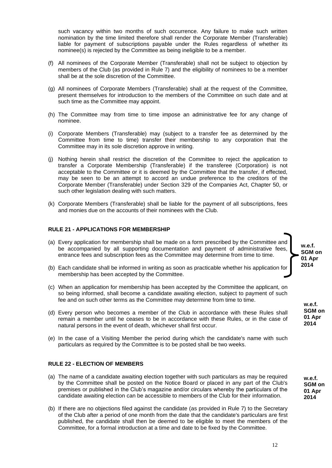such vacancy within two months of such occurrence. Any failure to make such written nomination by the time limited therefore shall render the Corporate Member (Transferable) liable for payment of subscriptions payable under the Rules regardless of whether its nominee(s) is rejected by the Committee as being ineligible to be a member.

- (f) All nominees of the Corporate Member (Transferable) shall not be subject to objection by members of the Club (as provided in Rule 7) and the eligibility of nominees to be a member shall be at the sole discretion of the Committee.
- (g) All nominees of Corporate Members (Transferable) shall at the request of the Committee, present themselves for introduction to the members of the Committee on such date and at such time as the Committee may appoint.
- (h) The Committee may from time to time impose an administrative fee for any change of nominee.
- (i) Corporate Members (Transferable) may (subject to a transfer fee as determined by the Committee from time to time) transfer their membership to any corporation that the Committee may in its sole discretion approve in writing.
- (j) Nothing herein shall restrict the discretion of the Committee to reject the application to transfer a Corporate Membership (Transferable) if the transferee (Corporation) is not acceptable to the Committee or it is deemed by the Committee that the transfer, if effected, may be seen to be an attempt to accord an undue preference to the creditors of the Corporate Member (Transferable) under Section 329 of the Companies Act, Chapter 50, or such other legislation dealing with such matters.
- (k) Corporate Members (Transferable) shall be liable for the payment of all subscriptions, fees and monies due on the accounts of their nominees with the Club.

#### **RULE 21 - APPLICATIONS FOR MEMBERSHIP**

- (a) Every application for membership shall be made on a form prescribed by the Committee and be accompanied by all supporting documentation and payment of administrative fees, entrance fees and subscription fees as the Committee may determine from time to time.
- (b) Each candidate shall be informed in writing as soon as practicable whether his application for membership has been accepted by the Committee.
- (c) When an application for membership has been accepted by the Committee the applicant, on so being informed, shall become a candidate awaiting election, subject to payment of such fee and on such other terms as the Committee may determine from time to time.
- (d) Every person who becomes a member of the Club in accordance with these Rules shall remain a member until he ceases to be in accordance with these Rules, or in the case of natural persons in the event of death, whichever shall first occur.
- (e) In the case of a Visiting Member the period during which the candidate's name with such particulars as required by the Committee is to be posted shall be two weeks.

# **RULE 22 - ELECTION OF MEMBERS**

- (a) The name of a candidate awaiting election together with such particulars as may be required by the Committee shall be posted on the Notice Board or placed in any part of the Club's premises or published in the Club's magazine and/or circulars whereby the particulars of the candidate awaiting election can be accessible to members of the Club for their information.
- (b) If there are no objections filed against the candidate (as provided in Rule 7) to the Secretary of the Club after a period of one month from the date that the candidate's particulars are first published, the candidate shall then be deemed to be eligible to meet the members of the Committee, for a formal introduction at a time and date to be fixed by the Committee.

**w.e.f. SGM on 01 Apr 2014**

> **w.e.f. SGM on 01 Apr 2014**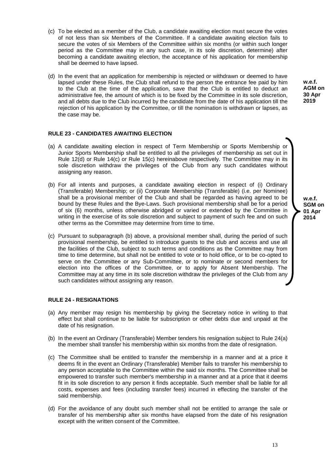- (c) To be elected as a member of the Club, a candidate awaiting election must secure the votes of not less than six Members of the Committee. If a candidate awaiting election fails to secure the votes of six Members of the Committee within six months (or within such longer period as the Committee may in any such case, in its sole discretion, determine) after becoming a candidate awaiting election, the acceptance of his application for membership shall be deemed to have lapsed.
- (d) In the event that an application for membership is rejected or withdrawn or deemed to have lapsed under these Rules, the Club shall refund to the person the entrance fee paid by him to the Club at the time of the application, save that the Club is entitled to deduct an administrative fee, the amount of which is to be fixed by the Committee in its sole discretion, and all debts due to the Club incurred by the candidate from the date of his application till the rejection of his application by the Committee, or till the nomination is withdrawn or lapses, as the case may be.

# **RULE 23 - CANDIDATES AWAITING ELECTION**

- (a) A candidate awaiting election in respect of Term Membership or Sports Membership or Junior Sports Membership shall be entitled to all the privileges of membership as set out in Rule 12(d) or Rule 14(c) or Rule 15(c) hereinabove respectively. The Committee may in its sole discretion withdraw the privileges of the Club from any such candidates without assigning any reason.
- (b) For all intents and purposes, a candidate awaiting election in respect of (i) Ordinary (Transferable) Membership; or (ii) Corporate Membership (Transferable) (i.e. per Nominee) shall be a provisional member of the Club and shall be regarded as having agreed to be bound by these Rules and the Bye-Laws. Such provisional membership shall be for a period of six (6) months, unless otherwise abridged or varied or extended by the Committee in writing in the exercise of its sole discretion and subject to payment of such fee and on such other terms as the Committee may determine from time to time.
- (c) Pursuant to subparagraph (b) above, a provisional member shall, during the period of such provisional membership, be entitled to introduce guests to the club and access and use all the facilities of the Club, subject to such terms and conditions as the Committee may from time to time determine, but shall not be entitled to vote or to hold office, or to be co-opted to serve on the Committee or any Sub-Committee, or to nominate or second members for election into the offices of the Committee, or to apply for Absent Membership. The Committee may at any time in its sole discretion withdraw the privileges of the Club from any such candidates without assigning any reason.

#### **RULE 24 - RESIGNATIONS**

- (a) Any member may resign his membership by giving the Secretary notice in writing to that effect but shall continue to be liable for subscription or other debts due and unpaid at the date of his resignation.
- (b) In the event an Ordinary (Transferable) Member tenders his resignation subject to Rule 24(a) the member shall transfer his membership within six months from the date of resignation.
- (c) The Committee shall be entitled to transfer the membership in a manner and at a price it deems fit in the event an Ordinary (Transferable) Member fails to transfer his membership to any person acceptable to the Committee within the said six months. The Committee shall be empowered to transfer such member's membership in a manner and at a price that it deems fit in its sole discretion to any person it finds acceptable. Such member shall be liable for all costs, expenses and fees (including transfer fees) incurred in effecting the transfer of the said membership.
- (d) For the avoidance of any doubt such member shall not be entitled to arrange the sale or transfer of his membership after six months have elapsed from the date of his resignation except with the written consent of the Committee.

**w.e.f. SGM on 01 Apr** 

**2014**

**w.e.f. AGM on 30 Apr 2019**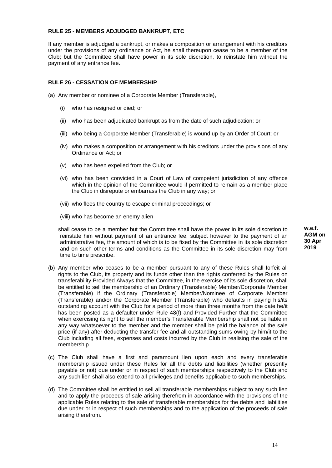# **RULE 25 - MEMBERS ADJUDGED BANKRUPT, ETC**

If any member is adjudged a bankrupt, or makes a composition or arrangement with his creditors under the provisions of any ordinance or Act, he shall thereupon cease to be a member of the Club; but the Committee shall have power in its sole discretion, to reinstate him without the payment of any entrance fee.

# **RULE 26 - CESSATION OF MEMBERSHIP**

- (a) Any member or nominee of a Corporate Member (Transferable),
	- (i) who has resigned or died; or
	- (ii) who has been adjudicated bankrupt as from the date of such adjudication; or
	- (iii) who being a Corporate Member (Transferable) is wound up by an Order of Court; or
	- (iv) who makes a composition or arrangement with his creditors under the provisions of any Ordinance or Act; or
	- (v) who has been expelled from the Club; or
	- (vi) who has been convicted in a Court of Law of competent jurisdiction of any offence which in the opinion of the Committee would if permitted to remain as a member place the Club in disrepute or embarrass the Club in any way; or
	- (vii) who flees the country to escape criminal proceedings; or
	- (viii) who has become an enemy alien

shall cease to be a member but the Committee shall have the power in its sole discretion to reinstate him without payment of an entrance fee, subject however to the payment of an administrative fee, the amount of which is to be fixed by the Committee in its sole discretion and on such other terms and conditions as the Committee in its sole discretion may from time to time prescribe.

- (b) Any member who ceases to be a member pursuant to any of these Rules shall forfeit all rights to the Club, its property and its funds other than the rights conferred by the Rules on transferability Provided Always that the Committee, in the exercise of its sole discretion, shall be entitled to sell the membership of an Ordinary (Transferable) Member/Corporate Member (Transferable) if the Ordinary (Transferable) Member/Nominee of Corporate Member (Transferable) and/or the Corporate Member (Transferable) who defaults in paying his/its outstanding account with the Club for a period of more than three months from the date he/it has been posted as a defaulter under Rule 48(f) and Provided Further that the Committee when exercising its right to sell the member's Transferable Membership shall not be liable in any way whatsoever to the member and the member shall be paid the balance of the sale price (if any) after deducting the transfer fee and all outstanding sums owing by him/it to the Club including all fees, expenses and costs incurred by the Club in realising the sale of the membership.
- (c) The Club shall have a first and paramount lien upon each and every transferable membership issued under these Rules for all the debts and liabilities (whether presently payable or not) due under or in respect of such memberships respectively to the Club and any such lien shall also extend to all privileges and benefits applicable to such memberships.
- (d) The Committee shall be entitled to sell all transferable memberships subject to any such lien and to apply the proceeds of sale arising therefrom in accordance with the provisions of the applicable Rules relating to the sale of transferable memberships for the debts and liabilities due under or in respect of such memberships and to the application of the proceeds of sale arising therefrom.

**w.e.f. AGM on 30 Apr 2019**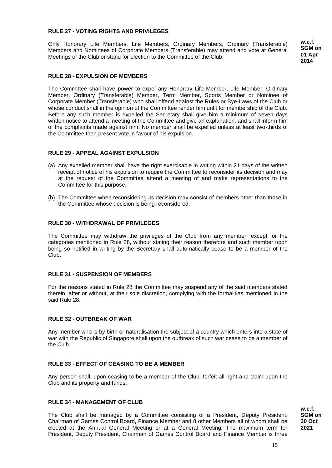# **RULE 27 - VOTING RIGHTS AND PRIVILEGES**

Only Honorary Life Members, Life Members, Ordinary Members, Ordinary (Transferable) Members and Nominees of Corporate Members (Transferable) may attend and vote at General Meetings of the Club or stand for election to the Committee of the Club.

**w.e.f. SGM on 01 Apr 2014**

# **RULE 28 - EXPULSION OF MEMBERS**

The Committee shall have power to expel any Honorary Life Member, Life Member, Ordinary Member, Ordinary (Transferable) Member, Term Member, Sports Member or Nominee of Corporate Member (Transferable) who shall offend against the Rules or Bye-Laws of the Club or whose conduct shall in the opinion of the Committee render him unfit for membership of the Club. Before any such member is expelled the Secretary shall give him a minimum of seven days written notice to attend a meeting of the Committee and give an explanation, and shall inform him of the complaints made against him. No member shall be expelled unless at least two-thirds of the Committee then present vote in favour of his expulsion.

# **RULE 29 - APPEAL AGAINST EXPULSION**

- (a) Any expelled member shall have the right exercisable in writing within 21 days of the written receipt of notice of his expulsion to require the Committee to reconsider its decision and may at the request of the Committee attend a meeting of and make representations to the Committee for this purpose.
- (b) The Committee when reconsidering its decision may consist of members other than those in the Committee whose decision is being reconsidered.

#### **RULE 30 - WITHDRAWAL OF PRIVILEGES**

The Committee may withdraw the privileges of the Club from any member, except for the categories mentioned in Rule 28, without stating their reason therefore and such member upon being so notified in writing by the Secretary shall automatically cease to be a member of the Club.

#### **RULE 31 - SUSPENSION OF MEMBERS**

For the reasons stated in Rule 28 the Committee may suspend any of the said members stated therein, after or without, at their sole discretion, complying with the formalities mentioned in the said Rule 28.

#### **RULE 32 - OUTBREAK OF WAR**

Any member who is by birth or naturalisation the subject of a country which enters into a state of war with the Republic of Singapore shall upon the outbreak of such war cease to be a member of the Club.

# **RULE 33 - EFFECT OF CEASING TO BE A MEMBER**

Any person shall, upon ceasing to be a member of the Club, forfeit all right and claim upon the Club and its property and funds.

#### **RULE 34 - MANAGEMENT OF CLUB**

The Club shall be managed by a Committee consisting of a President, Deputy President, Chairman of Games Control Board, Finance Member and 8 other Members all of whom shall be elected at the Annual General Meeting or at a General Meeting. The maximum term for President, Deputy President, Chairman of Games Control Board and Finance Member is three

**w.e.f. SGM on 30 Oct 2021**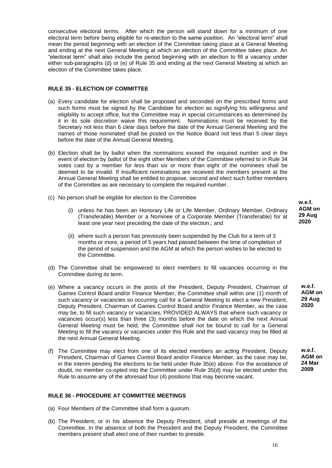consecutive electoral terms. After which the person will stand down for a minimum of one electoral term before being eligible for re-election to the same position. An "electoral term" shall mean the period beginning with an election of the Committee taking place at a General Meeting and ending at the next General Meeting at which an election of the Committee takes place. An "electoral term" shall also include the period beginning with an election to fill a vacancy under either sub-paragraphs (d) or (e) of Rule 35 and ending at the next General Meeting at which an election of the Committee takes place.

# **RULE 35 - ELECTION OF COMMITTEE**

- (a) Every candidate for election shall be proposed and seconded on the prescribed forms and such forms must be signed by the Candidate for election as signifying his willingness and eligibility to accept office, but the Committee may in special circumstances as determined by it in its sole discretion waive this requirement. Nominations must be received by the Secretary not less than 6 clear days before the date of the Annual General Meeting and the names of those nominated shall be posted on the Notice Board not less than 5 clear days before the date of the Annual General Meeting.
- (b) Election shall be by ballot when the nominations exceed the required number and in the event of election by ballot of the eight other Members of the Committee referred to in Rule 34 votes cast by a member for less than six or more than eight of the nominees shall be deemed to be invalid. If insufficient nominations are received the members present at the Annual General Meeting shall be entitled to propose, second and elect such further members of the Committee as are necessary to complete the required number.
- (c) No person shall be eligible for election to the Committee
	- (i) unless he has been an Honorary Life or Life Member, Ordinary Member, Ordinary (Transferable) Member or a Nominee of a Corporate Member (Transferable) for at least one year next preceding the date of the election.; and
	- (ii) where such a person has previously been suspended by the Club for a term of 3 months or more, a period of 5 years had passed between the time of completion of the period of suspension and the AGM at which the person wishes to be elected to the Committee.
- (d) The Committee shall be empowered to elect members to fill vacancies occurring in the Committee during its term.
- (e) Where a vacancy occurs in the posts of the President, Deputy President, Chairman of Games Control Board and/or Finance Member, the Committee shall within one (1) month of such vacancy or vacancies so occurring call for a General Meeting to elect a new President, Deputy President, Chairman of Games Control Board and/or Finance Member, as the case may be, to fill such vacancy or vacancies, PROVIDED ALWAYS that where such vacancy or vacancies occur(s) less than three (3) months before the date on which the next Annual General Meeting must be held, the Committee shall not be bound to call for a General Meeting to fill the vacancy or vacancies under this Rule and the said vacancy may be filled at the next Annual General Meeting.
- (f) The Committee may elect from one of its elected members an acting President, Deputy President, Chairman of Games Control Board and/or Finance Member, as the case may be, in the interim pending the elections to be held under Rule 35(e) above. For the avoidance of doubt, no member co-opted into the Committee under Rule 35(d) may be elected under this Rule to assume any of the aforesaid four (4) positions that may become vacant.

# **RULE 36 - PROCEDURE AT COMMITTEE MEETINGS**

- (a) Four Members of the Committee shall form a quorum.
- (b) The President, or in his absence the Deputy President, shall preside at meetings of the Committee. In the absence of both the President and the Deputy President, the Committee members present shall elect one of their number to preside.

**w.e.f. AGM on 29 Aug 2020**

> **w.e.f. AGM on 29 Aug 2020**

**w.e.f. AGM on 24 Mar 2009**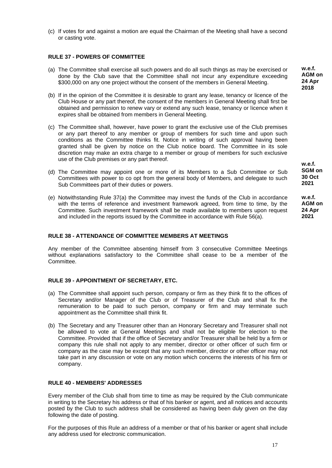(c) If votes for and against a motion are equal the Chairman of the Meeting shall have a second or casting vote.

# **RULE 37 - POWERS OF COMMITTEE**

- (a) The Committee shall exercise all such powers and do all such things as may be exercised or done by the Club save that the Committee shall not incur any expenditure exceeding \$300,000 on any one project without the consent of the members in General Meeting.
- (b) If in the opinion of the Committee it is desirable to grant any lease, tenancy or licence of the Club House or any part thereof, the consent of the members in General Meeting shall first be obtained and permission to renew vary or extend any such lease, tenancy or licence when it expires shall be obtained from members in General Meeting.
- (c) The Committee shall, however, have power to grant the exclusive use of the Club premises or any part thereof to any member or group of members for such time and upon such conditions as the Committee thinks fit. Notice in writing of such approval having been granted shall be given by notice on the Club notice board. The Committee in its sole discretion may make an extra charge to a member or group of members for such exclusive use of the Club premises or any part thereof.
- (d) The Committee may appoint one or more of its Members to a Sub Committee or Sub Committees with power to co opt from the general body of Members, and delegate to such Sub Committees part of their duties or powers.
- (e) Notwithstanding Rule 37(a) the Committee may invest the funds of the Club in accordance with the terms of reference and investment framework agreed, from time to time, by the Committee. Such investment framework shall be made available to members upon request and included in the reports issued by the Committee in accordance with Rule 56(a).

**SGM on 30 Oct 2021**

**w.e.f.**

**w.e.f. AGM on 24 Apr 2021**

# **RULE 38 - ATTENDANCE OF COMMITTEE MEMBERS AT MEETINGS**

Any member of the Committee absenting himself from 3 consecutive Committee Meetings without explanations satisfactory to the Committee shall cease to be a member of the **Committee.** 

# **RULE 39 - APPOINTMENT OF SECRETARY, ETC.**

- (a) The Committee shall appoint such person, company or firm as they think fit to the offices of Secretary and/or Manager of the Club or of Treasurer of the Club and shall fix the remuneration to be paid to such person, company or firm and may terminate such appointment as the Committee shall think fit.
- (b) The Secretary and any Treasurer other than an Honorary Secretary and Treasurer shall not be allowed to vote at General Meetings and shall not be eligible for election to the Committee. Provided that if the office of Secretary and/or Treasurer shall be held by a firm or company this rule shall not apply to any member, director or other officer of such firm or company as the case may be except that any such member, director or other officer may not take part in any discussion or vote on any motion which concerns the interests of his firm or company.

#### **RULE 40 - MEMBERS' ADDRESSES**

Every member of the Club shall from time to time as may be required by the Club communicate in writing to the Secretary his address or that of his banker or agent, and all notices and accounts posted by the Club to such address shall be considered as having been duly given on the day following the date of posting.

For the purposes of this Rule an address of a member or that of his banker or agent shall include any address used for electronic communication.

**w.e.f. AGM on 24 Apr 2018**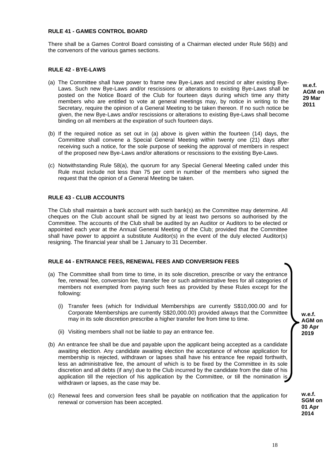# **RULE 41 - GAMES CONTROL BOARD**

There shall be a Games Control Board consisting of a Chairman elected under Rule 56(b) and the convenors of the various games sections.

# **RULE 42 - BYE-LAWS**

- (a) The Committee shall have power to frame new Bye-Laws and rescind or alter existing Bye-Laws. Such new Bye-Laws and/or rescissions or alterations to existing Bye-Laws shall be posted on the Notice Board of the Club for fourteen days during which time any thirty members who are entitled to vote at general meetings may, by notice in writing to the Secretary, require the opinion of a General Meeting to be taken thereon. If no such notice be given, the new Bye-Laws and/or rescissions or alterations to existing Bye-Laws shall become binding on all members at the expiration of such fourteen days.
- (b) If the required notice as set out in (a) above is given within the fourteen (14) days, the Committee shall convene a Special General Meeting within twenty one (21) days after receiving such a notice, for the sole purpose of seeking the approval of members in respect of the proposed new Bye-Laws and/or alterations or rescissions to the existing Bye-Laws.
- (c) Notwithstanding Rule 58(a), the quorum for any Special General Meeting called under this Rule must include not less than 75 per cent in number of the members who signed the request that the opinion of a General Meeting be taken.

# **RULE 43 - CLUB ACCOUNTS**

The Club shall maintain a bank account with such bank(s) as the Committee may determine. All cheques on the Club account shall be signed by at least two persons so authorised by the Committee. The accounts of the Club shall be audited by an Auditor or Auditors to be elected or appointed each year at the Annual General Meeting of the Club; provided that the Committee shall have power to appoint a substitute Auditor(s) in the event of the duly elected Auditor(s) resigning. The financial year shall be 1 January to 31 December.

#### **RULE 44 - ENTRANCE FEES, RENEWAL FEES AND CONVERSION FEES**

- (a) The Committee shall from time to time, in its sole discretion, prescribe or vary the entrance fee, renewal fee, conversion fee, transfer fee or such administrative fees for all categories of members not exempted from paying such fees as provided by these Rules except for the following:
	- (i) Transfer fees (which for Individual Memberships are currently S\$10,000.00 and for Corporate Memberships are currently S\$20,000.00) provided always that the Committee may in its sole discretion prescribe a higher transfer fee from time to time.
	- (ii) Visiting members shall not be liable to pay an entrance fee.
- (b) An entrance fee shall be due and payable upon the applicant being accepted as a candidate awaiting election. Any candidate awaiting election the acceptance of whose application for membership is rejected, withdrawn or lapses shall have his entrance fee repaid forthwith, less an administrative fee, the amount of which is to be fixed by the Committee in its sole discretion and all debts (if any) due to the Club incurred by the candidate from the date of his application till the rejection of his application by the Committee, or till the nomination is withdrawn or lapses, as the case may be.
- (c) Renewal fees and conversion fees shall be payable on notification that the application for renewal or conversion has been accepted.

**w.e.f. AGM on 29 Mar 2011**

**w.e.f. SGM on 01 Apr**

**w.e.f. AGM on 30 Apr 2019**

**2014**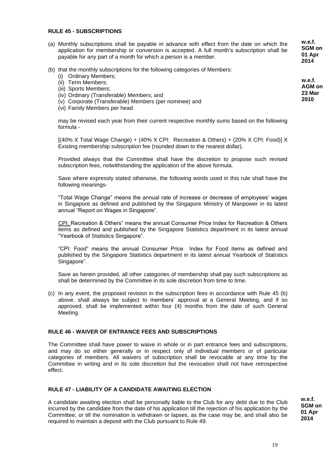#### **RULE 45 - SUBSCRIPTIONS**

- (a) Monthly subscriptions shall be payable in advance with effect from the date on which the application for membership or conversion is accepted. A full month's subscription shall be payable for any part of a month for which a person is a member. **w.e.f. SGM on 01 Apr 2014**
- (b) that the monthly subscriptions for the following categories of Members:
	- (i) Ordinary Members;
	- (ii) Term Members;
	- (iii) Sports Members;
	- (iv) Ordinary (Transferable) Members; and
	- (v) Corporate (Transferable) Members (per nominee) and
	- (vi) Family Members per head

may be revised each year from their current respective monthly sums based on the following formula -

[(40% X Total Wage Change) + (40% X CPI: Recreation & Others) + (20% X CPI: Food)] X Existing membership subscription fee (rounded down to the nearest dollar).

Provided always that the Committee shall have the discretion to propose such revised subscription fees, notwithstanding the application of the above formula.

Save where expressly stated otherwise, the following words used in this rule shall have the following meanings-

"Total Wage Change" means the annual rate of increase or decrease of employees' wages in Singapore as defined and published by the Singapore Ministry of Manpower in its latest annual "Report on Wages in Singapore".

CPI: Recreation & Others" means the annual Consumer Price Index for Recreation & Others items as defined and published by the Singapore Statistics department in its latest annual "Yearbook of Statistics Singapore".

"CPI: Food" means the annual Consumer Price Index for Food items as defined and published by the Singapore Statistics department in its latest annual Yearbook of Statistics Singapore".

Save as herein provided, all other categories of membership shall pay such subscriptions as shall be determined by the Committee in its sole discretion from time to time.

(c) In any event, the proposed revision in the subscription fees in accordance with Rule 45 (b) above, shall always be subject to members' approval at a General Meeting, and if so approved, shall be implemented within four (4) months from the date of such General Meeting.

# **RULE 46 - WAIVER OF ENTRANCE FEES AND SUBSCRIPTIONS**

The Committee shall have power to waive in whole or in part entrance fees and subscriptions, and may do so either generally or in respect only of individual members or of particular categories of members. All waivers of subscription shall be revocable at any time by the Committee in writing and in its sole discretion but the revocation shall not have retrospective effect.

# **RULE 47 - LIABILITY OF A CANDIDATE AWAITING ELECTION**

A candidate awaiting election shall be personally liable to the Club for any debt due to the Club incurred by the candidate from the date of his application till the rejection of his application by the Committee, or till the nomination is withdrawn or lapses, as the case may be, and shall also be required to maintain a deposit with the Club pursuant to Rule 49.

**w.e.f. SGM on 01 Apr 2014**

**2010**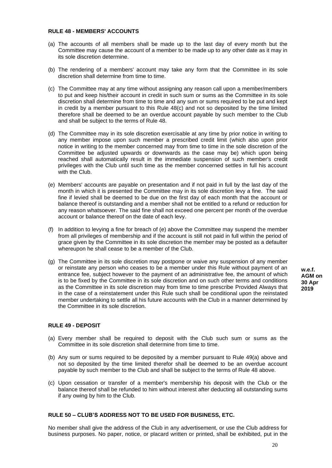#### **RULE 48 - MEMBERS' ACCOUNTS**

- (a) The accounts of all members shall be made up to the last day of every month but the Committee may cause the account of a member to be made up to any other date as it may in its sole discretion determine.
- (b) The rendering of a members' account may take any form that the Committee in its sole discretion shall determine from time to time.
- (c) The Committee may at any time without assigning any reason call upon a member/members to put and keep his/their account in credit in such sum or sums as the Committee in its sole discretion shall determine from time to time and any sum or sums required to be put and kept in credit by a member pursuant to this Rule 48(c) and not so deposited by the time limited therefore shall be deemed to be an overdue account payable by such member to the Club and shall be subject to the terms of Rule 48.
- (d) The Committee may in its sole discretion exercisable at any time by prior notice in writing to any member impose upon such member a prescribed credit limit (which also upon prior notice in writing to the member concerned may from time to time in the sole discretion of the Committee be adjusted upwards or downwards as the case may be) which upon being reached shall automatically result in the immediate suspension of such member's credit privileges with the Club until such time as the member concerned settles in full his account with the Club.
- (e) Members' accounts are payable on presentation and if not paid in full by the last day of the month in which it is presented the Committee may in its sole discretion levy a fine. The said fine if levied shall be deemed to be due on the first day of each month that the account or balance thereof is outstanding and a member shall not be entitled to a refund or reduction for any reason whatsoever. The said fine shall not exceed one percent per month of the overdue account or balance thereof on the date of each levy.
- (f) In addition to levying a fine for breach of (e) above the Committee may suspend the member from all privileges of membership and if the account is still not paid in full within the period of grace given by the Committee in its sole discretion the member may be posted as a defaulter whereupon he shall cease to be a member of the Club.
- (g) The Committee in its sole discretion may postpone or waive any suspension of any member or reinstate any person who ceases to be a member under this Rule without payment of an entrance fee, subject however to the payment of an administrative fee, the amount of which is to be fixed by the Committee in its sole discretion and on such other terms and conditions as the Committee in its sole discretion may from time to time prescribe Provided Always that in the case of a reinstatement under this Rule such shall be conditional upon the reinstated member undertaking to settle all his future accounts with the Club in a manner determined by the Committee in its sole discretion.

**w.e.f. AGM on 30 Apr 2019**

# **RULE 49 - DEPOSIT**

- (a) Every member shall be required to deposit with the Club such sum or sums as the Committee in its sole discretion shall determine from time to time.
- (b) Any sum or sums required to be deposited by a member pursuant to Rule 49(a) above and not so deposited by the time limited therefor shall be deemed to be an overdue account payable by such member to the Club and shall be subject to the terms of Rule 48 above.
- (c) Upon cessation or transfer of a member's membership his deposit with the Club or the balance thereof shall be refunded to him without interest after deducting all outstanding sums if any owing by him to the Club.

#### **RULE 50 – CLUB'S ADDRESS NOT TO BE USED FOR BUSINESS, ETC.**

No member shall give the address of the Club in any advertisement, or use the Club address for business purposes. No paper, notice, or placard written or printed, shall be exhibited, put in the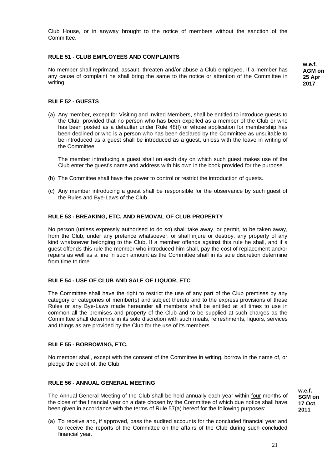Club House, or in anyway brought to the notice of members without the sanction of the Committee.

# **RULE 51 - CLUB EMPLOYEES AND COMPLAINTS**

No member shall reprimand, assault, threaten and/or abuse a Club employee. If a member has any cause of complaint he shall bring the same to the notice or attention of the Committee in writing.

**w.e.f. AGM on 25 Apr 2017**

### **RULE 52 - GUESTS**

(a) Any member, except for Visiting and Invited Members, shall be entitled to introduce guests to the Club; provided that no person who has been expelled as a member of the Club or who has been posted as a defaulter under Rule 48(f) or whose application for membership has been declined or who is a person who has been declared by the Committee as unsuitable to be introduced as a guest shall be introduced as a guest, unless with the leave in writing of the Committee.

The member introducing a guest shall on each day on which such guest makes use of the Club enter the guest's name and address with his own in the book provided for the purpose.

- (b) The Committee shall have the power to control or restrict the introduction of guests.
- (c) Any member introducing a guest shall be responsible for the observance by such guest of the Rules and Bye-Laws of the Club.

#### **RULE 53 - BREAKING, ETC. AND REMOVAL OF CLUB PROPERTY**

No person (unless expressly authorised to do so) shall take away, or permit, to be taken away, from the Club, under any pretence whatsoever, or shall injure or destroy, any property of any kind whatsoever belonging to the Club. If a member offends against this rule he shall, and if a guest offends this rule the member who introduced him shall, pay the cost of replacement and/or repairs as well as a fine in such amount as the Committee shall in its sole discretion determine from time to time.

#### **RULE 54 - USE OF CLUB AND SALE OF LIQUOR, ETC**

The Committee shall have the right to restrict the use of any part of the Club premises by any category or categories of member(s) and subject thereto and to the express provisions of these Rules or any Bye-Laws made hereunder all members shall be entitled at all times to use in common all the premises and property of the Club and to be supplied at such charges as the Committee shall determine in its sole discretion with such meals, refreshments, liquors, services and things as are provided by the Club for the use of its members.

#### **RULE 55 - BORROWING, ETC.**

No member shall, except with the consent of the Committee in writing, borrow in the name of, or pledge the credit of, the Club.

#### **RULE 56 - ANNUAL GENERAL MEETING**

The Annual General Meeting of the Club shall be held annually each year within four months of the close of the financial year on a date chosen by the Committee of which due notice shall have been given in accordance with the terms of Rule 57(a) hereof for the following purposes:

(a) To receive and, if approved, pass the audited accounts for the concluded financial year and to receive the reports of the Committee on the affairs of the Club during such concluded financial year.

**w.e.f. SGM on 17 Oct 2011**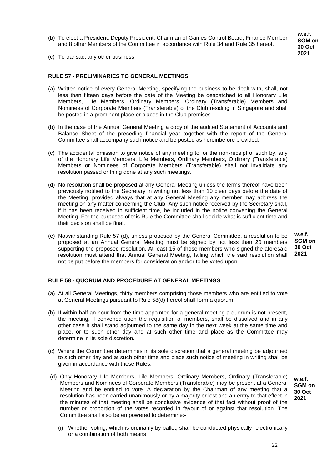(b) To elect a President, Deputy President, Chairman of Games Control Board, Finance Member and 8 other Members of the Committee in accordance with Rule 34 and Rule 35 hereof.

**w.e.f. SGM on 30 Oct 2021**

(c) To transact any other business.

# **RULE 57 - PRELIMINARIES TO GENERAL MEETINGS**

- (a) Written notice of every General Meeting, specifying the business to be dealt with, shall, not less than fifteen days before the date of the Meeting be despatched to all Honorary Life Members, Life Members, Ordinary Members, Ordinary (Transferable) Members and Nominees of Corporate Members (Transferable) of the Club residing in Singapore and shall be posted in a prominent place or places in the Club premises.
- (b) In the case of the Annual General Meeting a copy of the audited Statement of Accounts and Balance Sheet of the preceding financial year together with the report of the General Committee shall accompany such notice and be posted as hereinbefore provided.
- (c) The accidental omission to give notice of any meeting to, or the non-receipt of such by, any of the Honorary Life Members, Life Members, Ordinary Members, Ordinary (Transferable) Members or Nominees of Corporate Members (Transferable) shall not invalidate any resolution passed or thing done at any such meetings.
- (d) No resolution shall be proposed at any General Meeting unless the terms thereof have been previously notified to the Secretary in writing not less than 10 clear days before the date of the Meeting, provided always that at any General Meeting any member may address the meeting on any matter concerning the Club. Any such notice received by the Secretary shall, if it has been received in sufficient time, be included in the notice convening the General Meeting. For the purposes of this Rule the Committee shall decide what is sufficient time and their decision shall be final.
- (e) Notwithstanding Rule 57 (d), unless proposed by the General Committee, a resolution to be proposed at an Annual General Meeting must be signed by not less than 20 members supporting the proposed resolution. At least 15 of those members who signed the aforesaid resolution must attend that Annual General Meeting, failing which the said resolution shall not be put before the members for consideration and/or to be voted upon.

**w.e.f. SGM on 30 Oct 2021**

# **RULE 58 - QUORUM AND PROCEDURE AT GENERAL MEETINGS**

- (a) At all General Meetings, thirty members comprising those members who are entitled to vote at General Meetings pursuant to Rule 58(d) hereof shall form a quorum.
- (b) If within half an hour from the time appointed for a general meeting a quorum is not present, the meeting, if convened upon the requisition of members, shall be dissolved and in any other case it shall stand adjourned to the same day in the next week at the same time and place, or to such other day and at such other time and place as the Committee may determine in its sole discretion.
- (c) Where the Committee determines in its sole discretion that a general meeting be adjourned to such other day and at such other time and place such notice of meeting in writing shall be given in accordance with these Rules.
- (d) Only Honorary Life Members, Life Members, Ordinary Members, Ordinary (Transferable) Members and Nominees of Corporate Members (Transferable) may be present at a General Meeting and be entitled to vote. A declaration by the Chairman of any meeting that a resolution has been carried unanimously or by a majority or lost and an entry to that effect in the minutes of that meeting shall be conclusive evidence of that fact without proof of the number or proportion of the votes recorded in favour of or against that resolution. The Committee shall also be empowered to determine:-

**w.e.f. SGM on 30 Oct 2021**

(i) Whether voting, which is ordinarily by ballot, shall be conducted physically, electronically or a combination of both means;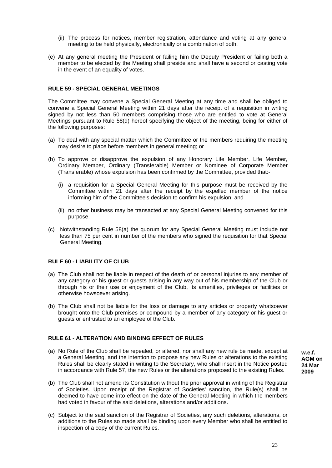- (ii) The process for notices, member registration, attendance and voting at any general meeting to be held physically, electronically or a combination of both.
- (e) At any general meeting the President or failing him the Deputy President or failing both a member to be elected by the Meeting shall preside and shall have a second or casting vote in the event of an equality of votes.

# **RULE 59 - SPECIAL GENERAL MEETINGS**

The Committee may convene a Special General Meeting at any time and shall be obliged to convene a Special General Meeting within 21 days after the receipt of a requisition in writing signed by not less than 50 members comprising those who are entitled to vote at General Meetings pursuant to Rule 58(d) hereof specifying the object of the meeting, being for either of the following purposes:

- (a) To deal with any special matter which the Committee or the members requiring the meeting may desire to place before members in general meeting; or
- (b) To approve or disapprove the expulsion of any Honorary Life Member, Life Member, Ordinary Member, Ordinary (Transferable) Member or Nominee of Corporate Member (Transferable) whose expulsion has been confirmed by the Committee, provided that:-
	- (i) a requisition for a Special General Meeting for this purpose must be received by the Committee within 21 days after the receipt by the expelled member of the notice informing him of the Committee's decision to confirm his expulsion; and
	- (ii) no other business may be transacted at any Special General Meeting convened for this purpose.
- (c) Notwithstanding Rule 58(a) the quorum for any Special General Meeting must include not less than 75 per cent in number of the members who signed the requisition for that Special General Meeting.

# **RULE 60 - LIABILITY OF CLUB**

- (a) The Club shall not be liable in respect of the death of or personal injuries to any member of any category or his guest or guests arising in any way out of his membership of the Club or through his or their use or enjoyment of the Club, its amenities, privileges or facilities or otherwise howsoever arising.
- (b) The Club shall not be liable for the loss or damage to any articles or property whatsoever brought onto the Club premises or compound by a member of any category or his guest or guests or entrusted to an employee of the Club.

# **RULE 61 - ALTERATION AND BINDING EFFECT OF RULES**

- (a) No Rule of the Club shall be repealed, or altered, nor shall any new rule be made, except at a General Meeting, and the intention to propose any new Rules or alterations to the existing Rules shall be clearly stated in writing to the Secretary, who shall insert in the Notice posted in accordance with Rule 57, the new Rules or the alterations proposed to the existing Rules.
- (b) The Club shall not amend its Constitution without the prior approval in writing of the Registrar of Societies. Upon receipt of the Registrar of Societies' sanction, the Rule(s) shall be deemed to have come into effect on the date of the General Meeting in which the members had voted in favour of the said deletions, alterations and/or additions.
- (c) Subject to the said sanction of the Registrar of Societies, any such deletions, alterations, or additions to the Rules so made shall be binding upon every Member who shall be entitled to inspection of a copy of the current Rules.

**w.e.f. AGM on 24 Mar 2009**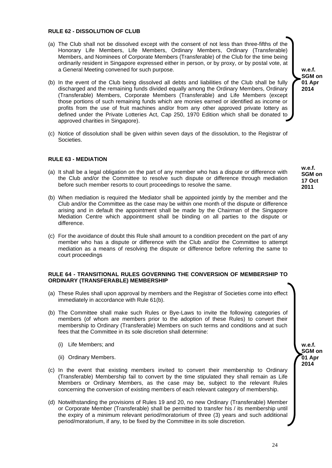#### **RULE 62 - DISSOLUTION OF CLUB**

- (a) The Club shall not be dissolved except with the consent of not less than three-fifths of the Honorary Life Members, Life Members, Ordinary Members, Ordinary (Transferable) Members, and Nominees of Corporate Members (Transferable) of the Club for the time being ordinarily resident in Singapore expressed either in person, or by proxy, or by postal vote, at a General Meeting convened for such purpose.
- (b) In the event of the Club being dissolved all debts and liabilities of the Club shall be fully discharged and the remaining funds divided equally among the Ordinary Members, Ordinary (Transferable) Members, Corporate Members (Transferable) and Life Members (except those portions of such remaining funds which are monies earned or identified as income or profits from the use of fruit machines and/or from any other approved private lottery as defined under the Private Lotteries Act, Cap 250, 1970 Edition which shall be donated to approved charities in Singapore).
- (c) Notice of dissolution shall be given within seven days of the dissolution, to the Registrar of Societies.

# **RULE 63 - MEDIATION**

- (a) It shall be a legal obligation on the part of any member who has a dispute or difference with the Club and/or the Committee to resolve such dispute or difference through mediation before such member resorts to court proceedings to resolve the same.
- (b) When mediation is required the Mediator shall be appointed jointly by the member and the Club and/or the Committee as the case may be within one month of the dispute or difference arising and in default the appointment shall be made by the Chairman of the Singapore Mediation Centre which appointment shall be binding on all parties to the dispute or difference.
- (c) For the avoidance of doubt this Rule shall amount to a condition precedent on the part of any member who has a dispute or difference with the Club and/or the Committee to attempt mediation as a means of resolving the dispute or difference before referring the same to court proceedings

#### **RULE 64 - TRANSITIONAL RULES GOVERNING THE CONVERSION OF MEMBERSHIP TO ORDINARY (TRANSFERABLE) MEMBERSHIP**

- (a) These Rules shall upon approval by members and the Registrar of Societies come into effect immediately in accordance with Rule 61(b).
- (b) The Committee shall make such Rules or Bye-Laws to invite the following categories of members (of whom are members prior to the adoption of these Rules) to convert their membership to Ordinary (Transferable) Members on such terms and conditions and at such fees that the Committee in its sole discretion shall determine:
	- (i) Life Members; and
	- (ii) Ordinary Members.
- (c) In the event that existing members invited to convert their membership to Ordinary (Transferable) Membership fail to convert by the time stipulated they shall remain as Life Members or Ordinary Members, as the case may be, subject to the relevant Rules concerning the conversion of existing members of each relevant category of membership.
- (d) Notwithstanding the provisions of Rules 19 and 20, no new Ordinary (Transferable) Member or Corporate Member (Transferable) shall be permitted to transfer his / its membership until the expiry of a minimum relevant period/moratorium of three (3) years and such additional period/moratorium, if any, to be fixed by the Committee in its sole discretion.

**w.e.f. SGM on 01 Apr 2014**

> **w.e.f. SGM on 17 Oct 2011**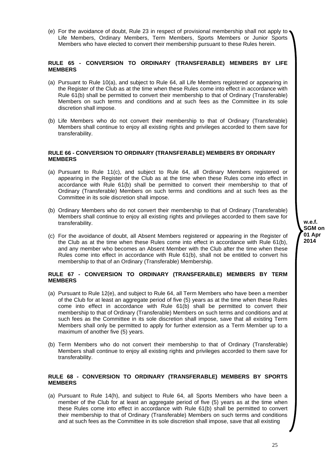(e) For the avoidance of doubt, Rule 23 in respect of provisional membership shall not apply to Life Members, Ordinary Members, Term Members, Sports Members or Junior Sports Members who have elected to convert their membership pursuant to these Rules herein.

# **RULE 65 - CONVERSION TO ORDINARY (TRANSFERABLE) MEMBERS BY LIFE MEMBERS**

- (a) Pursuant to Rule 10(a), and subject to Rule 64, all Life Members registered or appearing in the Register of the Club as at the time when these Rules come into effect in accordance with Rule 61(b) shall be permitted to convert their membership to that of Ordinary (Transferable) Members on such terms and conditions and at such fees as the Committee in its sole discretion shall impose.
- (b) Life Members who do not convert their membership to that of Ordinary (Transferable) Members shall continue to enjoy all existing rights and privileges accorded to them save for transferability.

#### **RULE 66 - CONVERSION TO ORDINARY (TRANSFERABLE) MEMBERS BY ORDINARY MEMBERS**

- (a) Pursuant to Rule 11(c), and subject to Rule 64, all Ordinary Members registered or appearing in the Register of the Club as at the time when these Rules come into effect in accordance with Rule 61(b) shall be permitted to convert their membership to that of Ordinary (Transferable) Members on such terms and conditions and at such fees as the Committee in its sole discretion shall impose.
- (b) Ordinary Members who do not convert their membership to that of Ordinary (Transferable) Members shall continue to enjoy all existing rights and privileges accorded to them save for transferability.
- (c) For the avoidance of doubt, all Absent Members registered or appearing in the Register of the Club as at the time when these Rules come into effect in accordance with Rule 61(b), and any member who becomes an Absent Member with the Club after the time when these Rules come into effect in accordance with Rule 61(b), shall not be entitled to convert his membership to that of an Ordinary (Transferable) Membership.

#### **RULE 67 - CONVERSION TO ORDINARY (TRANSFERABLE) MEMBERS BY TERM MEMBERS**

- (a) Pursuant to Rule 12(e), and subject to Rule 64, all Term Members who have been a member of the Club for at least an aggregate period of five (5) years as at the time when these Rules come into effect in accordance with Rule 61(b) shall be permitted to convert their membership to that of Ordinary (Transferable) Members on such terms and conditions and at such fees as the Committee in its sole discretion shall impose, save that all existing Term Members shall only be permitted to apply for further extension as a Term Member up to a maximum of another five (5) years.
- (b) Term Members who do not convert their membership to that of Ordinary (Transferable) Members shall continue to enjoy all existing rights and privileges accorded to them save for transferability.

#### **RULE 68 - CONVERSION TO ORDINARY (TRANSFERABLE) MEMBERS BY SPORTS MEMBERS**

(a) Pursuant to Rule 14(h), and subject to Rule 64, all Sports Members who have been a member of the Club for at least an aggregate period of five (5) years as at the time when these Rules come into effect in accordance with Rule 61(b) shall be permitted to convert their membership to that of Ordinary (Transferable) Members on such terms and conditions and at such fees as the Committee in its sole discretion shall impose, save that all existing